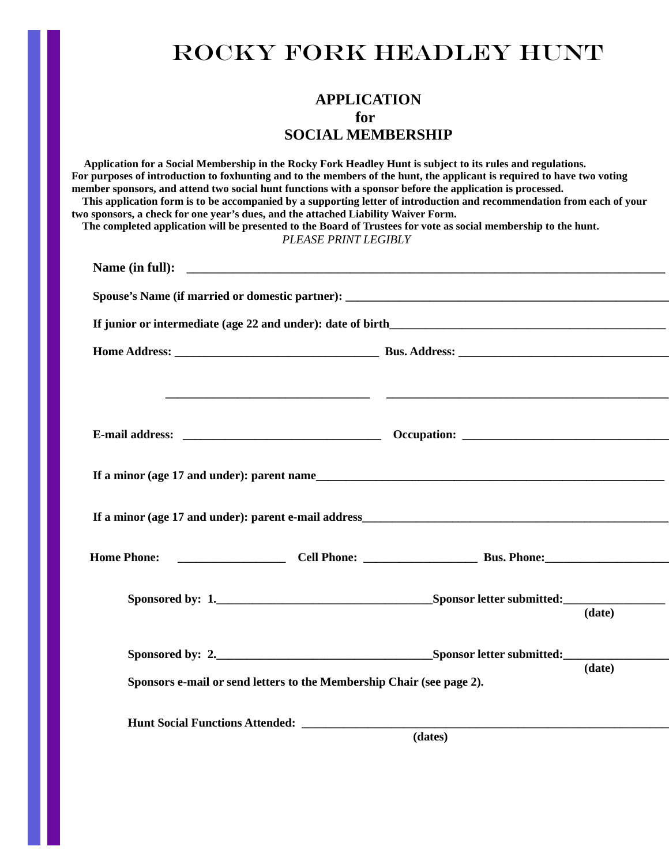## ROCKY FORK HEADLEY HUNT

## **APPLICATION for SOCIAL MEMBERSHIP**

 **Application for a Social Membership in the Rocky Fork Headley Hunt is subject to its rules and regulations. For purposes of introduction to foxhunting and to the members of the hunt, the applicant is required to have two voting member sponsors, and attend two social hunt functions with a sponsor before the application is processed. This application form is to be accompanied by a supporting letter of introduction and recommendation from each of your two sponsors, a check for one year's dues, and the attached Liability Waiver Form. The completed application will be presented to the Board of Trustees for vote as social membership to the hunt.** *PLEASE PRINT LEGIBLY* **Name (in full): \_\_\_\_\_\_\_\_\_\_\_\_\_\_\_\_\_\_\_\_\_\_\_\_\_\_\_\_\_\_\_\_\_\_\_\_\_\_\_\_\_\_\_\_\_\_\_\_\_\_\_\_\_\_\_\_\_\_\_\_\_\_\_\_\_\_\_\_\_\_\_\_\_ Spouse's Name (if married or domestic partner): If junior or intermediate (age 22 and under): date of birth\_\_\_\_\_\_\_\_\_\_\_\_\_\_\_\_\_\_\_\_\_\_\_\_\_\_\_\_\_\_\_\_\_\_\_\_\_\_\_\_\_\_\_\_\_\_ Home Address: \_\_\_\_\_\_\_\_\_\_\_\_\_\_\_\_\_\_\_\_\_\_\_\_\_\_\_\_\_\_\_\_\_\_ Bus. Address: \_\_\_\_\_\_\_\_\_\_\_\_\_\_\_\_\_\_\_\_\_\_\_\_\_\_\_\_\_\_\_\_\_\_\_ \_\_\_\_\_\_\_\_\_\_\_\_\_\_\_\_\_\_\_\_\_\_\_\_\_\_\_\_\_\_\_\_\_\_ \_\_\_\_\_\_\_\_\_\_\_\_\_\_\_\_\_\_\_\_\_\_\_\_\_\_\_\_\_\_\_\_\_\_\_\_\_\_\_\_\_\_\_\_\_\_\_ E-mail address: \_\_\_\_\_\_\_\_\_\_\_\_\_\_\_\_\_\_\_\_\_\_\_\_\_\_\_\_\_\_\_\_\_ Occupation: \_\_\_\_\_\_\_\_\_\_\_\_\_\_\_\_\_\_\_\_\_\_\_\_\_\_\_\_\_\_\_\_\_\_\_ If a minor (age 17 and under): parent name\_\_\_\_\_\_\_\_\_\_\_\_\_\_\_\_\_\_\_\_\_\_\_\_\_\_\_\_\_\_\_\_\_\_\_\_\_\_\_\_\_\_\_\_\_\_\_\_\_\_\_\_\_\_\_\_\_\_ If a minor (age 17 and under): parent e-mail address\_\_\_\_\_\_\_\_\_\_\_\_\_\_\_\_\_\_\_\_\_\_\_\_\_\_\_\_\_\_\_\_\_\_\_\_\_\_\_\_\_\_\_\_\_\_\_\_\_\_\_ Home Phone: Cell Phone: Cell Phone: Bus. Phone: Bus. Phone: Cell Phone: Cell Phone: Cell Phone: Cell Phone: Cell Phone: Cell Phone: Cell Phone: Cell Phone: Cell Phone: Cell Phone: Cell Phone Sponsored by: 1.\_\_\_\_\_\_\_\_\_\_\_\_\_\_\_\_\_\_\_\_\_\_\_\_\_\_\_\_\_\_\_\_\_\_\_\_Sponsor letter submitted:\_\_\_\_\_\_\_\_\_\_\_\_\_\_\_\_\_ (date) Sponsored by: 2.** Sponsor letter submitted:  **(date) Sponsors e-mail or send letters to the Membership Chair (see page 2). Hunt Social Functions Attended: \_\_\_\_\_\_\_\_\_\_\_\_\_\_\_\_\_\_\_\_\_\_\_\_\_\_\_\_\_\_\_\_\_\_\_\_\_\_\_\_\_\_\_\_\_\_\_\_\_\_\_\_\_\_\_\_\_\_\_\_\_\_ (dates)**